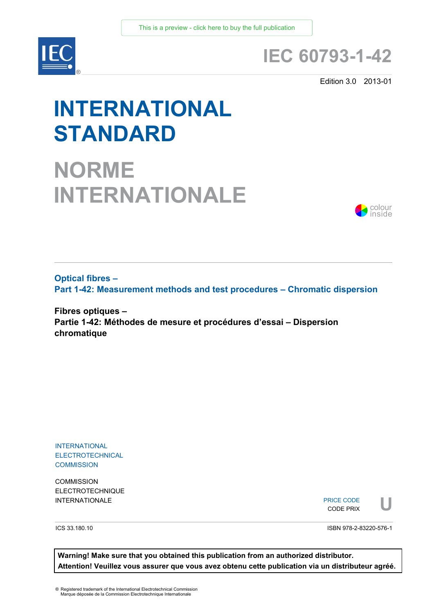

# **IEC 60793-1-42**

Edition 3.0 2013-01

# **INTERNATIONAL STANDARD**

**NORME INTERNATIONALE**



**Optical fibres – Part 1-42: Measurement methods and test procedures – Chromatic dispersion** 

**Fibres optiques – Partie 1-42: Méthodes de mesure et procédures d'essai – Dispersion chromatique**

INTERNATIONAL **ELECTROTECHNICAL COMMISSION** 

**COMMISSION** ELECTROTECHNIQUE

INTERNATIONALE PRICE CODE PRIX PRICE CODE CODE PRIX



ICS 33.180.10

ISBN 978-2-83220-576-1

**Warning! Make sure that you obtained this publication from an authorized distributor. Attention! Veuillez vous assurer que vous avez obtenu cette publication via un distributeur agréé.**

® Registered trademark of the International Electrotechnical Commission Marque déposée de la Commission Electrotechnique Internationale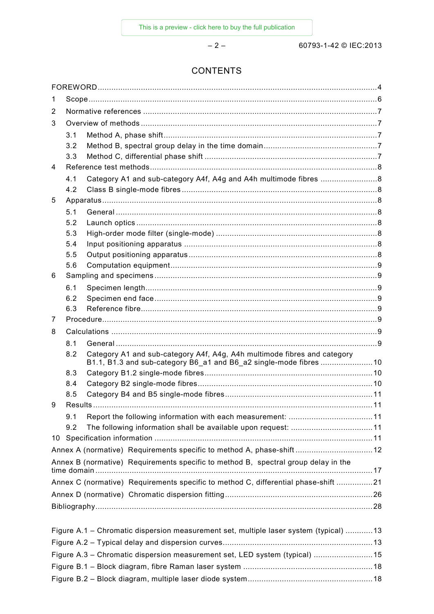$-2-$ 

60793-1-42 © IEC:2013

# **CONTENTS**

| 1 |     |                                                                                                                                               |    |  |  |  |  |
|---|-----|-----------------------------------------------------------------------------------------------------------------------------------------------|----|--|--|--|--|
| 2 |     |                                                                                                                                               |    |  |  |  |  |
| 3 |     |                                                                                                                                               |    |  |  |  |  |
|   | 3.1 |                                                                                                                                               |    |  |  |  |  |
|   | 3.2 |                                                                                                                                               |    |  |  |  |  |
|   | 3.3 |                                                                                                                                               |    |  |  |  |  |
| 4 |     |                                                                                                                                               |    |  |  |  |  |
|   | 4.1 | Category A1 and sub-category A4f, A4g and A4h multimode fibres 8                                                                              |    |  |  |  |  |
|   | 4.2 |                                                                                                                                               |    |  |  |  |  |
| 5 |     |                                                                                                                                               |    |  |  |  |  |
|   | 5.1 |                                                                                                                                               |    |  |  |  |  |
|   | 5.2 |                                                                                                                                               |    |  |  |  |  |
|   | 5.3 |                                                                                                                                               |    |  |  |  |  |
|   | 5.4 |                                                                                                                                               |    |  |  |  |  |
|   | 5.5 |                                                                                                                                               |    |  |  |  |  |
|   | 5.6 |                                                                                                                                               |    |  |  |  |  |
| 6 |     |                                                                                                                                               |    |  |  |  |  |
|   | 6.1 |                                                                                                                                               |    |  |  |  |  |
|   | 6.2 |                                                                                                                                               |    |  |  |  |  |
|   | 6.3 |                                                                                                                                               |    |  |  |  |  |
| 7 |     |                                                                                                                                               |    |  |  |  |  |
| 8 |     |                                                                                                                                               |    |  |  |  |  |
|   | 8.1 |                                                                                                                                               |    |  |  |  |  |
|   | 8.2 | Category A1 and sub-category A4f, A4g, A4h multimode fibres and category<br>B1.1, B1.3 and sub-category B6_a1 and B6_a2 single-mode fibres 10 |    |  |  |  |  |
|   | 8.3 |                                                                                                                                               |    |  |  |  |  |
|   | 8.4 |                                                                                                                                               |    |  |  |  |  |
|   | 8.5 |                                                                                                                                               |    |  |  |  |  |
| 9 |     |                                                                                                                                               |    |  |  |  |  |
|   | 9.1 |                                                                                                                                               |    |  |  |  |  |
|   | 9.2 |                                                                                                                                               |    |  |  |  |  |
|   |     |                                                                                                                                               |    |  |  |  |  |
|   |     | Annex A (normative) Requirements specific to method A, phase-shift12                                                                          |    |  |  |  |  |
|   |     | Annex B (normative) Requirements specific to method B, spectral group delay in the                                                            |    |  |  |  |  |
|   |     | Annex C (normative) Requirements specific to method C, differential phase-shift 21                                                            |    |  |  |  |  |
|   |     |                                                                                                                                               |    |  |  |  |  |
|   |     |                                                                                                                                               |    |  |  |  |  |
|   |     |                                                                                                                                               |    |  |  |  |  |
|   |     | Figure A.1 – Chromatic dispersion measurement set, multiple laser system (typical) 13                                                         |    |  |  |  |  |
|   |     |                                                                                                                                               |    |  |  |  |  |
|   |     | Figure A.3 - Chromatic dispersion measurement set, LED system (typical) 15                                                                    |    |  |  |  |  |
|   |     | $F_{\text{GUII}}$ R 1 $\pm$ Rlock diagram fibre Raman laser system                                                                            | 18 |  |  |  |  |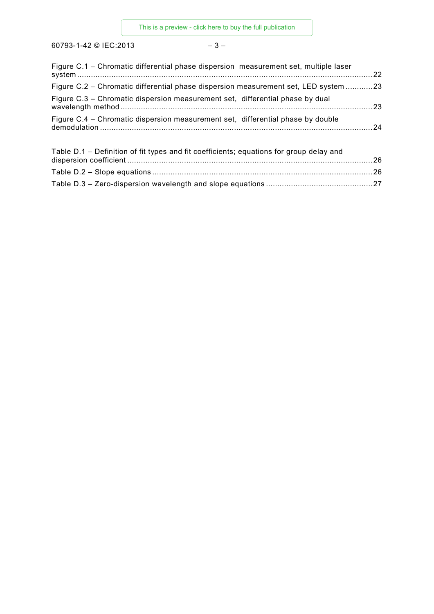60793-1-42 © IEC:2013 – 3 –

| Figure C.1 - Chromatic differential phase dispersion measurement set, multiple laser    |  |
|-----------------------------------------------------------------------------------------|--|
| Figure C.2 - Chromatic differential phase dispersion measurement set, LED system 23     |  |
| Figure C.3 – Chromatic dispersion measurement set, differential phase by dual           |  |
| Figure C.4 – Chromatic dispersion measurement set, differential phase by double         |  |
|                                                                                         |  |
| Table D.1 – Definition of fit types and fit coefficients; equations for group delay and |  |
|                                                                                         |  |
|                                                                                         |  |

Table D.3 – Zero-dispersion wavelength and slope equations ...............................................27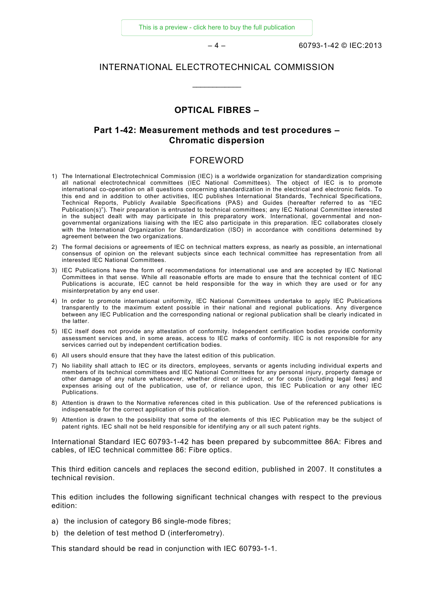#### INTERNATIONAL ELECTROTECHNICAL COMMISSION

 $\overline{\phantom{a}}$ 

# **OPTICAL FIBRES –**

#### **Part 1-42: Measurement methods and test procedures – Chromatic dispersion**

# FOREWORD

- 1) The International Electrotechnical Commission (IEC) is a worldwide organization for standardization comprising all national electrotechnical committees (IEC National Committees). The object of IEC is to promote international co-operation on all questions concerning standardization in the electrical and electronic fields. To this end and in addition to other activities, IEC publishes International Standards, Technical Specifications, Technical Reports, Publicly Available Specifications (PAS) and Guides (hereafter referred to as "IEC Publication(s)"). Their preparation is entrusted to technical committees; any IEC National Committee interested in the subject dealt with may participate in this preparatory work. International, governmental and nongovernmental organizations liaising with the IEC also participate in this preparation. IEC collaborates closely with the International Organization for Standardization (ISO) in accordance with conditions determined by agreement between the two organizations.
- 2) The formal decisions or agreements of IEC on technical matters express, as nearly as possible, an international consensus of opinion on the relevant subjects since each technical committee has representation from all interested IEC National Committees.
- 3) IEC Publications have the form of recommendations for international use and are accepted by IEC National Committees in that sense. While all reasonable efforts are made to ensure that the technical content of IEC Publications is accurate, IEC cannot be held responsible for the way in which they are used or for any misinterpretation by any end user.
- 4) In order to promote international uniformity, IEC National Committees undertake to apply IEC Publications transparently to the maximum extent possible in their national and regional publications. Any divergence between any IEC Publication and the corresponding national or regional publication shall be clearly indicated in the latter.
- 5) IEC itself does not provide any attestation of conformity. Independent certification bodies provide conformity assessment services and, in some areas, access to IEC marks of conformity. IEC is not responsible for any services carried out by independent certification bodies.
- 6) All users should ensure that they have the latest edition of this publication.
- 7) No liability shall attach to IEC or its directors, employees, servants or agents including individual experts and members of its technical committees and IEC National Committees for any personal injury, property damage or other damage of any nature whatsoever, whether direct or indirect, or for costs (including legal fees) and expenses arising out of the publication, use of, or reliance upon, this IEC Publication or any other IEC Publications.
- 8) Attention is drawn to the Normative references cited in this publication. Use of the referenced publications is indispensable for the correct application of this publication.
- 9) Attention is drawn to the possibility that some of the elements of this IEC Publication may be the subject of patent rights. IEC shall not be held responsible for identifying any or all such patent rights.

International Standard IEC 60793-1-42 has been prepared by subcommittee 86A: Fibres and cables, of IEC technical committee 86: Fibre optics.

This third edition cancels and replaces the second edition, published in 2007. It constitutes a technical revision.

This edition includes the following significant technical changes with respect to the previous edition:

- a) the inclusion of category B6 single-mode fibres;
- b) the deletion of test method D (interferometry).

This standard should be read in conjunction with IEC 60793-1-1.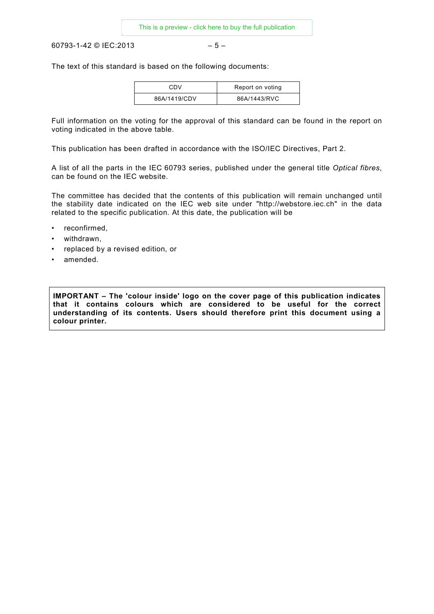$60793 - 1 - 42 \odot 1E$ C: 2013 – 5 –

The text of this standard is based on the following documents:

| CDV          | Report on voting |  |  |  |
|--------------|------------------|--|--|--|
| 86A/1419/CDV | 86A/1443/RVC     |  |  |  |

Full information on the voting for the approval of this standard can be found in the report on voting indicated in the above table.

This publication has been drafted in accordance with the ISO/IEC Directives, Part 2.

A list of all the parts in the IEC 60793 series, published under the general title *Optical fibres*, can be found on the IEC website.

The committee has decided that the contents of this publication will remain unchanged until the stability date indicated on the IEC web site under "http://webstore.iec.ch" in the data related to the specific publication. At this date, the publication will be

- reconfirmed,
- withdrawn,
- replaced by a revised edition, or
- amended.

**IMPORTANT – The 'colour inside' logo on the cover page of this publication indicates that it contains colours which are considered to be useful for the correct understanding of its contents. Users should therefore print this document using a colour printer.**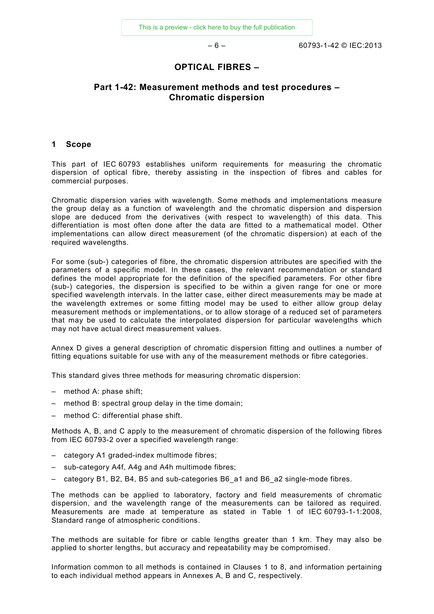$-6 - 6$  60793-1-42 © IEC:2013

# **OPTICAL FIBRES –**

#### **Part 1-42: Measurement methods and test procedures – Chromatic dispersion**

#### **1 Scope**

This part of IEC 60793 establishes uniform requirements for measuring the chromatic dispersion of optical fibre, thereby assisting in the inspection of fibres and cables for commercial purposes.

Chromatic dispersion varies with wavelength. Some methods and implementations measure the group delay as a function of wavelength and the chromatic dispersion and dispersion slope are deduced from the derivatives (with respect to wavelength) of this data. This differentiation is most often done after the data are fitted to a mathematical model. Other implementations can allow direct measurement (of the chromatic dispersion) at each of the required wavelengths.

For some (sub-) categories of fibre, the chromatic dispersion attributes are specified with the parameters of a specific model. In these cases, the relevant recommendation or standard defines the model appropriate for the definition of the specified parameters. For other fibre (sub-) categories, the dispersion is specified to be within a given range for one or more specified wavelength intervals. In the latter case, either direct measurements may be made at the wavelength extremes or some fitting model may be used to either allow group delay measurement methods or implementations, or to allow storage of a reduced set of parameters that may be used to calculate the interpolated dispersion for particular wavelengths which may not have actual direct measurement values.

Annex D gives a general description of chromatic dispersion fitting and outlines a number of fitting equations suitable for use with any of the measurement methods or fibre categories.

This standard gives three methods for measuring chromatic dispersion:

- method A: phase shift;
- method B: spectral group delay in the time domain;
- method C: differential phase shift.

Methods A, B, and C apply to the measurement of chromatic dispersion of the following fibres from IEC 60793-2 over a specified wavelength range:

- category A1 graded-index multimode fibres;
- sub-category A4f, A4g and A4h multimode fibres;
- category B1, B2, B4, B5 and sub-categories B6 a1 and B6 a2 single-mode fibres.

The methods can be applied to laboratory, factory and field measurements of chromatic dispersion, and the wavelength range of the measurements can be tailored as required. Measurements are made at temperature as stated in Table 1 of IEC 60793-1-1:2008, Standard range of atmospheric conditions.

The methods are suitable for fibre or cable lengths greater than 1 km. They may also be applied to shorter lengths, but accuracy and repeatability may be compromised.

Information common to all methods is contained in Clauses 1 to 8, and information pertaining to each individual method appears in Annexes A, B and C, respectively.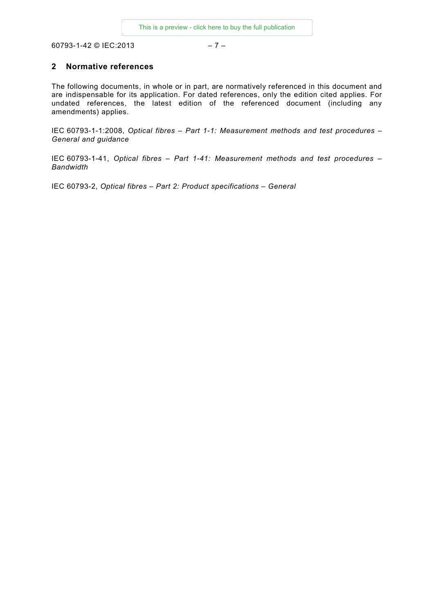60793-1-42 © IEC:2013 – 7 –

#### **2 Normative references**

The following documents, in whole or in part, are normatively referenced in this document and are indispensable for its application. For dated references, only the edition cited applies. For undated references, the latest edition of the referenced document (including any amendments) applies.

IEC 60793-1-1:2008, *Optical fibres – Part 1-1: Measurement methods and test procedures – General and guidance*

IEC 60793-1-41, *Optical fibres – Part 1-41: Measurement methods and test procedures – Bandwidth*

IEC 60793-2, *Optical fibres – Part 2: Product specifications – General*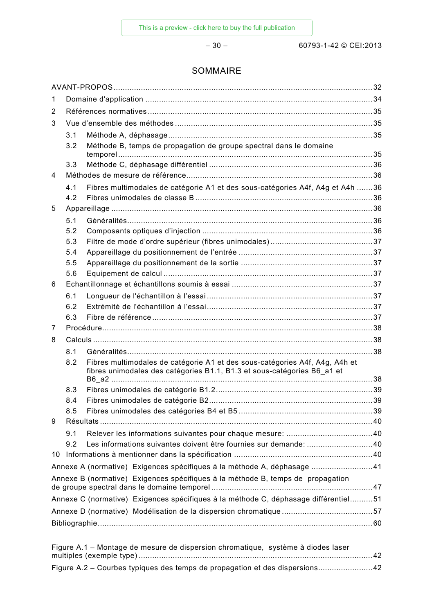$-30-$ 

# SOMMAIRE

| 1                                                                       |     |                                                                                                                                                        |  |  |  |  |  |
|-------------------------------------------------------------------------|-----|--------------------------------------------------------------------------------------------------------------------------------------------------------|--|--|--|--|--|
| 2                                                                       |     |                                                                                                                                                        |  |  |  |  |  |
| 3                                                                       |     |                                                                                                                                                        |  |  |  |  |  |
| 3.1                                                                     |     |                                                                                                                                                        |  |  |  |  |  |
|                                                                         | 3.2 | Méthode B, temps de propagation de groupe spectral dans le domaine                                                                                     |  |  |  |  |  |
|                                                                         |     |                                                                                                                                                        |  |  |  |  |  |
|                                                                         | 3.3 |                                                                                                                                                        |  |  |  |  |  |
| 4                                                                       |     |                                                                                                                                                        |  |  |  |  |  |
|                                                                         | 4.1 | Fibres multimodales de catégorie A1 et des sous-catégories A4f, A4g et A4h 36                                                                          |  |  |  |  |  |
|                                                                         | 4.2 |                                                                                                                                                        |  |  |  |  |  |
| 5                                                                       |     |                                                                                                                                                        |  |  |  |  |  |
|                                                                         | 5.1 |                                                                                                                                                        |  |  |  |  |  |
|                                                                         | 5.2 |                                                                                                                                                        |  |  |  |  |  |
|                                                                         | 5.3 |                                                                                                                                                        |  |  |  |  |  |
|                                                                         | 5.4 |                                                                                                                                                        |  |  |  |  |  |
|                                                                         | 5.5 |                                                                                                                                                        |  |  |  |  |  |
|                                                                         | 5.6 |                                                                                                                                                        |  |  |  |  |  |
| 6                                                                       |     |                                                                                                                                                        |  |  |  |  |  |
|                                                                         | 6.1 |                                                                                                                                                        |  |  |  |  |  |
|                                                                         | 6.2 |                                                                                                                                                        |  |  |  |  |  |
|                                                                         | 6.3 |                                                                                                                                                        |  |  |  |  |  |
| 7                                                                       |     |                                                                                                                                                        |  |  |  |  |  |
| 8                                                                       |     |                                                                                                                                                        |  |  |  |  |  |
|                                                                         | 8.1 |                                                                                                                                                        |  |  |  |  |  |
|                                                                         | 8.2 | Fibres multimodales de catégorie A1 et des sous-catégories A4f, A4g, A4h et<br>fibres unimodales des catégories B1.1, B1.3 et sous-catégories B6 a1 et |  |  |  |  |  |
|                                                                         |     |                                                                                                                                                        |  |  |  |  |  |
|                                                                         | 8.3 |                                                                                                                                                        |  |  |  |  |  |
|                                                                         | 8.4 |                                                                                                                                                        |  |  |  |  |  |
|                                                                         | 8.5 |                                                                                                                                                        |  |  |  |  |  |
| 9                                                                       |     |                                                                                                                                                        |  |  |  |  |  |
|                                                                         | 9.1 |                                                                                                                                                        |  |  |  |  |  |
|                                                                         | 9.2 | Les informations suivantes doivent être fournies sur demande: 40                                                                                       |  |  |  |  |  |
|                                                                         |     |                                                                                                                                                        |  |  |  |  |  |
| Annexe A (normative) Exigences spécifiques à la méthode A, déphasage 41 |     |                                                                                                                                                        |  |  |  |  |  |
|                                                                         |     | Annexe B (normative) Exigences spécifiques à la méthode B, temps de propagation                                                                        |  |  |  |  |  |
|                                                                         |     | Annexe C (normative) Exigences spécifiques à la méthode C, déphasage différentiel51                                                                    |  |  |  |  |  |
|                                                                         |     |                                                                                                                                                        |  |  |  |  |  |
|                                                                         |     |                                                                                                                                                        |  |  |  |  |  |
|                                                                         |     |                                                                                                                                                        |  |  |  |  |  |
|                                                                         |     | Figure A.1 – Montage de mesure de dispersion chromatique, système à diodes laser                                                                       |  |  |  |  |  |
|                                                                         |     |                                                                                                                                                        |  |  |  |  |  |

Figure A.2 - Courbes typiques des temps de propagation et des dispersions.......................42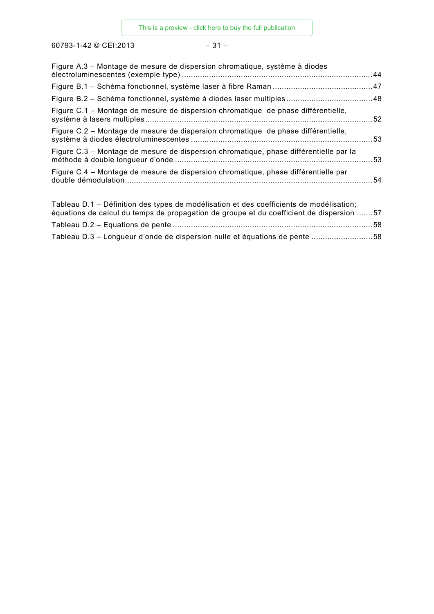60793-1-42 © CEI:2013 – 31 –

| Figure A.3 – Montage de mesure de dispersion chromatique, système à diodes                                                                                                          |     |
|-------------------------------------------------------------------------------------------------------------------------------------------------------------------------------------|-----|
|                                                                                                                                                                                     |     |
|                                                                                                                                                                                     |     |
| Figure C.1 – Montage de mesure de dispersion chromatique de phase différentielle,                                                                                                   |     |
| Figure C.2 – Montage de mesure de dispersion chromatique de phase différentielle,                                                                                                   |     |
| Figure C.3 – Montage de mesure de dispersion chromatique, phase différentielle par la                                                                                               |     |
| Figure C.4 – Montage de mesure de dispersion chromatique, phase différentielle par                                                                                                  | .54 |
| Tableau D.1 – Définition des types de modélisation et des coefficients de modélisation;<br>équations de calcul du temps de propagation de groupe et du coefficient de dispersion 57 |     |
| Tablacu D.O. Fausticus de popte                                                                                                                                                     | гo. |

|  | Tableau D.2 – Equations de pente …………………………………………………………………………58            |  |  |  |  |
|--|----------------------------------------------------------------------------|--|--|--|--|
|  | Tableau D.3 – Longueur d'onde de dispersion nulle et équations de pente 58 |  |  |  |  |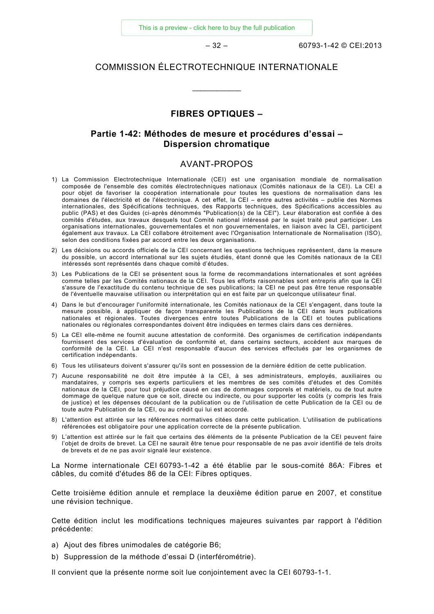[This is a preview - click here to buy the full publication](https://webstore.iec.ch/publication/3454&preview=1)

# COMMISSION ÉLECTROTECHNIQUE INTERNATIONALE

 $\overline{\phantom{a}}$ 

#### **FIBRES OPTIQUES –**

# **Partie 1-42: Méthodes de mesure et procédures d'essai – Dispersion chromatique**

#### AVANT-PROPOS

- 1) La Commission Electrotechnique Internationale (CEI) est une organisation mondiale de normalisation composée de l'ensemble des comités électrotechniques nationaux (Comités nationaux de la CEI). La CEI a pour objet de favoriser la coopération internationale pour toutes les questions de normalisation dans les domaines de l'électricité et de l'électronique. A cet effet, la CEI – entre autres activités – publie des Normes internationales, des Spécifications techniques, des Rapports techniques, des Spécifications accessibles au public (PAS) et des Guides (ci-après dénommés "Publication(s) de la CEI"). Leur élaboration est confiée à des comités d'études, aux travaux desquels tout Comité national intéressé par le sujet traité peut participer. Les organisations internationales, gouvernementales et non gouvernementales, en liaison avec la CEI, participent également aux travaux. La CEI collabore étroitement avec l'Organisation Internationale de Normalisation (ISO), selon des conditions fixées par accord entre les deux organisations.
- 2) Les décisions ou accords officiels de la CEI concernant les questions techniques représentent, dans la mesure du possible, un accord international sur les sujets étudiés, étant donné que les Comités nationaux de la CEI intéressés sont représentés dans chaque comité d'études.
- 3) Les Publications de la CEI se présentent sous la forme de recommandations internationales et sont agréées comme telles par les Comités nationaux de la CEI. Tous les efforts raisonnables sont entrepris afin que la CEI s'assure de l'exactitude du contenu technique de ses publications; la CEI ne peut pas être tenue responsable de l'éventuelle mauvaise utilisation ou interprétation qui en est faite par un quelconque utilisateur final.
- 4) Dans le but d'encourager l'uniformité internationale, les Comités nationaux de la CEI s'engagent, dans toute la mesure possible, à appliquer de façon transparente les Publications de la CEI dans leurs publications nationales et régionales. Toutes divergences entre toutes Publications de la CEI et toutes publications nationales ou régionales correspondantes doivent être indiquées en termes clairs dans ces dernières.
- 5) La CEI elle-même ne fournit aucune attestation de conformité. Des organismes de certification indépendants fournissent des services d'évaluation de conformité et, dans certains secteurs, accèdent aux marques de conformité de la CEI. La CEI n'est responsable d'aucun des services effectués par les organismes de certification indépendants.
- 6) Tous les utilisateurs doivent s'assurer qu'ils sont en possession de la dernière édition de cette publication.
- 7) Aucune responsabilité ne doit être imputée à la CEI, à ses administrateurs, employés, auxiliaires ou mandataires, y compris ses experts particuliers et les membres de ses comités d'études et des Comités nationaux de la CEI, pour tout préjudice causé en cas de dommages corporels et matériels, ou de tout autre dommage de quelque nature que ce soit, directe ou indirecte, ou pour supporter les coûts (y compris les frais de justice) et les dépenses découlant de la publication ou de l'utilisation de cette Publication de la CEI ou de toute autre Publication de la CEI, ou au crédit qui lui est accordé.
- 8) L'attention est attirée sur les références normatives citées dans cette publication. L'utilisation de publications référencées est obligatoire pour une application correcte de la présente publication.
- 9) L'attention est attirée sur le fait que certains des éléments de la présente Publication de la CEI peuvent faire l'objet de droits de brevet. La CEI ne saurait être tenue pour responsable de ne pas avoir identifié de tels droits de brevets et de ne pas avoir signalé leur existence.

La Norme internationale CEI 60793-1-42 a été établie par le sous-comité 86A: Fibres et câbles, du comité d'études 86 de la CEI: Fibres optiques.

Cette troisième édition annule et remplace la deuxième édition parue en 2007, et constitue une révision technique.

Cette édition inclut les modifications techniques majeures suivantes par rapport à l'édition précédente:

- a) Ajout des fibres unimodales de catégorie B6;
- b) Suppression de la méthode d'essai D (interférométrie).

Il convient que la présente norme soit lue conjointement avec la CEI 60793-1-1.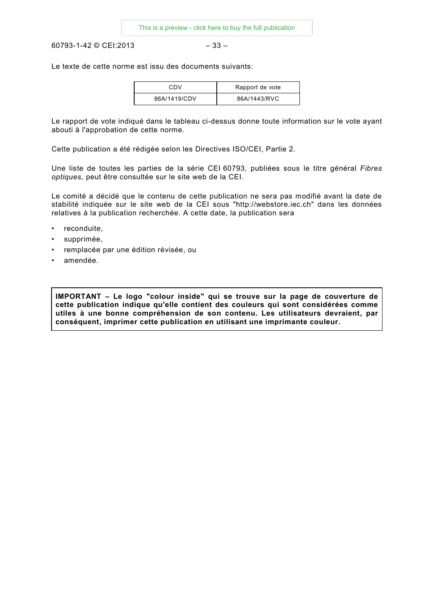60793-1-42 © CEI:2013 – 33 –

Le texte de cette norme est issu des documents suivants:

| CDV          | Rapport de vote |  |  |  |
|--------------|-----------------|--|--|--|
| 86A/1419/CDV | 86A/1443/RVC    |  |  |  |

Le rapport de vote indiqué dans le tableau ci-dessus donne toute information sur le vote ayant abouti à l'approbation de cette norme.

Cette publication a été rédigée selon les Directives ISO/CEI, Partie 2.

Une liste de toutes les parties de la série CEI 60793, publiées sous le titre général *Fibres optiques*, peut être consultée sur le site web de la CEI.

Le comité a décidé que le contenu de cette publication ne sera pas modifié avant la date de stabilité indiquée sur le site web de la CEI sous "http://webstore.iec.ch" dans les données relatives à la publication recherchée. A cette date, la publication sera

- reconduite,
- supprimée,
- remplacée par une édition révisée, ou
- amendée.

**IMPORTANT – Le logo "colour inside" qui se trouve sur la page de couverture de cette publication indique qu'elle contient des couleurs qui sont considérées comme utiles à une bonne compréhension de son contenu. Les utilisateurs devraient, par conséquent, imprimer cette publication en utilisant une imprimante couleur.**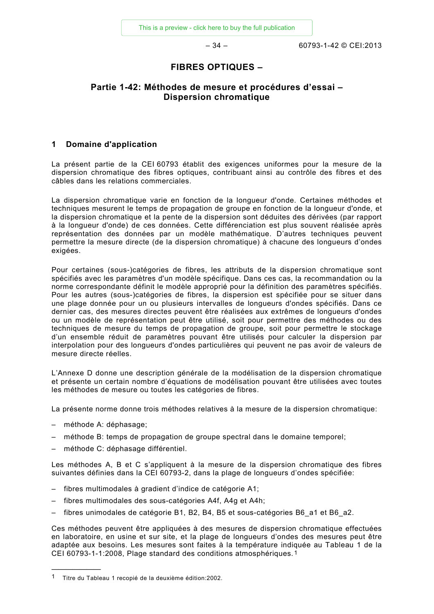$-34 - 60793 - 1 - 42 \odot \text{CE}$ 

# **FIBRES OPTIQUES –**

# **Partie 1-42: Méthodes de mesure et procédures d'essai – Dispersion chromatique**

#### **1 Domaine d'application**

La présent partie de la CEI 60793 établit des exigences uniformes pour la mesure de la dispersion chromatique des fibres optiques, contribuant ainsi au contrôle des fibres et des câbles dans les relations commerciales.

La dispersion chromatique varie en fonction de la longueur d'onde. Certaines méthodes et techniques mesurent le temps de propagation de groupe en fonction de la longueur d'onde, et la dispersion chromatique et la pente de la dispersion sont déduites des dérivées (par rapport à la longueur d'onde) de ces données. Cette différenciation est plus souvent réalisée après représentation des données par un modèle mathématique. D'autres techniques peuvent permettre la mesure directe (de la dispersion chromatique) à chacune des longueurs d'ondes exigées.

Pour certaines (sous-)catégories de fibres, les attributs de la dispersion chromatique sont spécifiés avec les paramètres d'un modèle spécifique. Dans ces cas, la recommandation ou la norme correspondante définit le modèle approprié pour la définition des paramètres spécifiés. Pour les autres (sous-)catégories de fibres, la dispersion est spécifiée pour se situer dans une plage donnée pour un ou plusieurs intervalles de longueurs d'ondes spécifiés. Dans ce dernier cas, des mesures directes peuvent être réalisées aux extrêmes de longueurs d'ondes ou un modèle de représentation peut être utilisé, soit pour permettre des méthodes ou des techniques de mesure du temps de propagation de groupe, soit pour permettre le stockage d'un ensemble réduit de paramètres pouvant être utilisés pour calculer la dispersion par interpolation pour des longueurs d'ondes particulières qui peuvent ne pas avoir de valeurs de mesure directe réelles.

L'Annexe D donne une description générale de la modélisation de la dispersion chromatique et présente un certain nombre d'équations de modélisation pouvant être utilisées avec toutes les méthodes de mesure ou toutes les catégories de fibres.

La présente norme donne trois méthodes relatives à la mesure de la dispersion chromatique:

– méthode A: déphasage;

———————

- méthode B: temps de propagation de groupe spectral dans le domaine temporel;
- méthode C: déphasage différentiel.

Les méthodes A, B et C s'appliquent à la mesure de la dispersion chromatique des fibres suivantes définies dans la CEI 60793-2, dans la plage de longueurs d'ondes spécifiée:

- fibres multimodales à gradient d'indice de catégorie A1;
- fibres multimodales des sous-catégories A4f, A4g et A4h;
- fibres unimodales de catégorie B1, B2, B4, B5 et sous-catégories B6 a1 et B6 a2.

Ces méthodes peuvent être appliquées à des mesures de dispersion chromatique effectuées en laboratoire, en usine et sur site, et la plage de longueurs d'ondes des mesures peut être adaptée aux besoins. Les mesures sont faites à la température indiquée au Tableau 1 de la CEI 60793-1-1:2008, Plage standard des conditions atmosphériques. [1](#page-11-0)

<span id="page-11-0"></span><sup>1</sup> Titre du Tableau 1 recopié de la deuxième édition:2002.